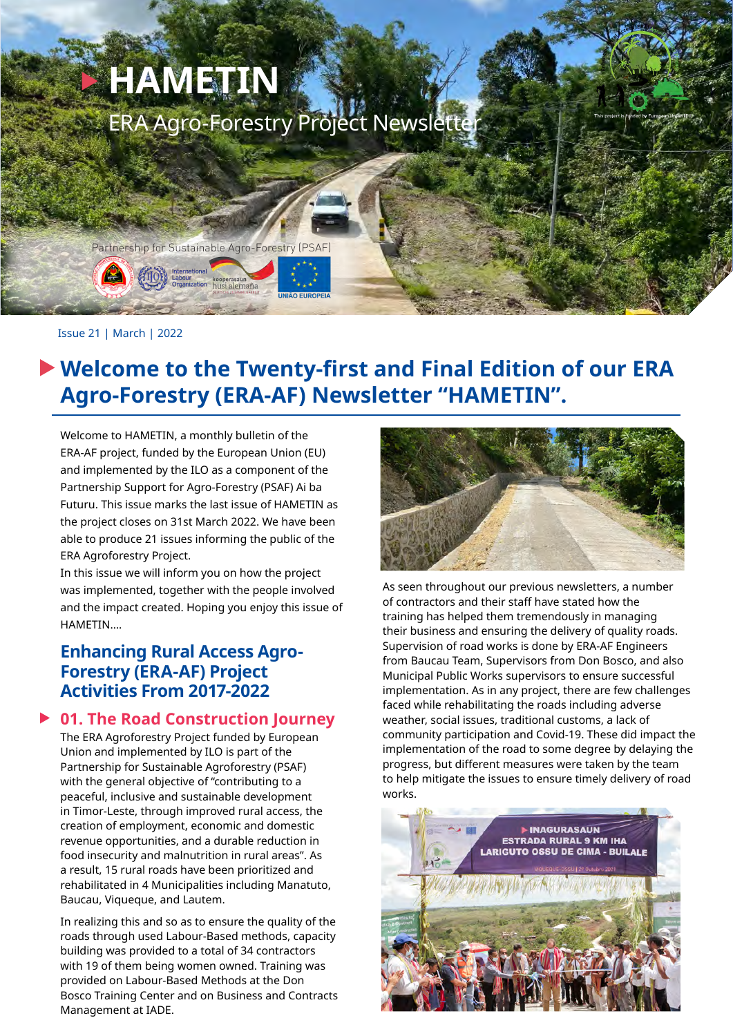

# **Welcome to the Twenty-first and Final Edition of our ERA Agro-Forestry (ERA-AF) Newsletter "HAMETIN".**

Welcome to HAMETIN, a monthly bulletin of the ERA-AF project, funded by the European Union (EU) and implemented by the ILO as a component of the Partnership Support for Agro-Forestry (PSAF) Ai ba Futuru. This issue marks the last issue of HAMETIN as the project closes on 31st March 2022. We have been able to produce 21 issues informing the public of the ERA Agroforestry Project.

In this issue we will inform you on how the project was implemented, together with the people involved and the impact created. Hoping you enjoy this issue of HAMETIN….

## **Enhancing Rural Access Agro-Forestry (ERA-AF) Project Activities From 2017-2022**

## **01. The Road Construction Journey**

The ERA Agroforestry Project funded by European Union and implemented by ILO is part of the Partnership for Sustainable Agroforestry (PSAF) with the general objective of "contributing to a peaceful, inclusive and sustainable development in Timor-Leste, through improved rural access, the creation of employment, economic and domestic revenue opportunities, and a durable reduction in food insecurity and malnutrition in rural areas". As a result, 15 rural roads have been prioritized and rehabilitated in 4 Municipalities including Manatuto, Baucau, Viqueque, and Lautem.

In realizing this and so as to ensure the quality of the roads through used Labour-Based methods, capacity building was provided to a total of 34 contractors with 19 of them being women owned. Training was provided on Labour-Based Methods at the Don Bosco Training Center and on Business and Contracts Management at IADE.



As seen throughout our previous newsletters, a number of contractors and their staff have stated how the training has helped them tremendously in managing their business and ensuring the delivery of quality roads. Supervision of road works is done by ERA-AF Engineers from Baucau Team, Supervisors from Don Bosco, and also Municipal Public Works supervisors to ensure successful implementation. As in any project, there are few challenges faced while rehabilitating the roads including adverse weather, social issues, traditional customs, a lack of community participation and Covid-19. These did impact the implementation of the road to some degree by delaying the progress, but different measures were taken by the team to help mitigate the issues to ensure timely delivery of road works.

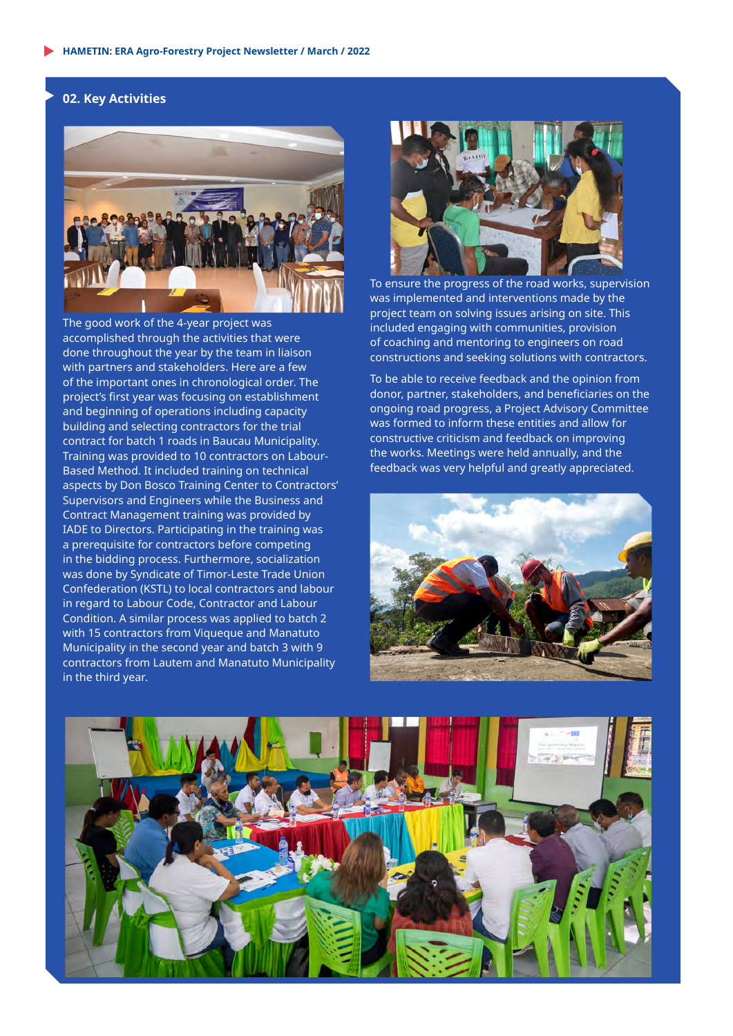#### **02. Key Activities**



The good work of the 4-year project was accomplished through the activities that were done throughout the year by the team in liaison with partners and stakeholders. Here are a few of the important ones in chronological order. The project's first year was focusing on establishment and beginning of operations including capacity building and selecting contractors for the trial contract for batch 1 roads in Baucau Municipality. Training was provided to 10 contractors on Labour-Based Method. It included training on technical aspects by Don Bosco Training Center to Contractors' Supervisors and Engineers while the Business and Contract Management training was provided by IADE to Directors. Participating in the training was a prerequisite for contractors before competing in the bidding process. Furthermore, socialization was done by Syndicate of Timor-Leste Trade Union Confederation (KSTL) to local contractors and labour in regard to Labour Code, Contractor and Labour Condition. A similar process was applied to batch 2 with 15 contractors from Viqueque and Manatuto Municipality in the second year and batch 3 with 9 contractors from Lautem and Manatuto Municipality in the third year.



To ensure the progress of the road works, supervision was implemented and interventions made by the project team on solving issues arising on site. This included engaging with communities, provision of coaching and mentoring to engineers on road constructions and seeking solutions with contractors.

To be able to receive feedback and the opinion from donor, partner, stakeholders, and beneficiaries on the ongoing road progress, a Project Advisory Committee was formed to inform these entities and allow for constructive criticism and feedback on improving the works. Meetings were held annually, and the feedback was very helpful and greatly appreciated.



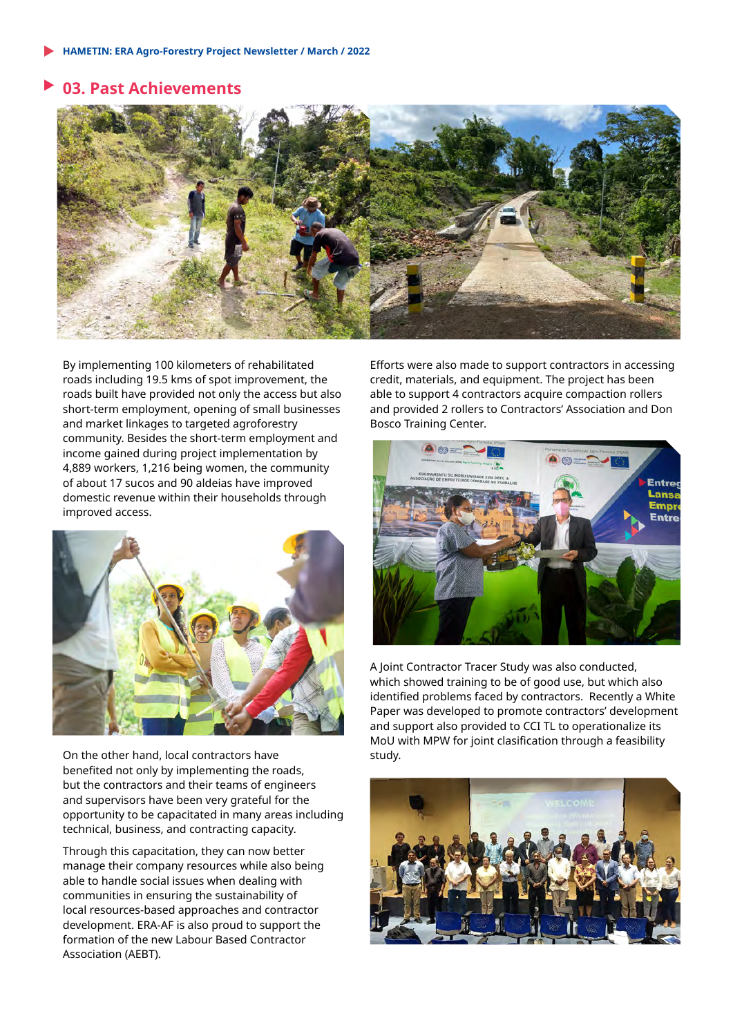## **03. Past Achievements**



By implementing 100 kilometers of rehabilitated roads including 19.5 kms of spot improvement, the roads built have provided not only the access but also short-term employment, opening of small businesses and market linkages to targeted agroforestry community. Besides the short-term employment and income gained during project implementation by 4,889 workers, 1,216 being women, the community of about 17 sucos and 90 aldeias have improved domestic revenue within their households through improved access.



On the other hand, local contractors have benefited not only by implementing the roads, but the contractors and their teams of engineers and supervisors have been very grateful for the opportunity to be capacitated in many areas including technical, business, and contracting capacity.

Through this capacitation, they can now better manage their company resources while also being able to handle social issues when dealing with communities in ensuring the sustainability of local resources-based approaches and contractor development. ERA-AF is also proud to support the formation of the new Labour Based Contractor Association (AEBT).

Efforts were also made to support contractors in accessing credit, materials, and equipment. The project has been able to support 4 contractors acquire compaction rollers and provided 2 rollers to Contractors' Association and Don Bosco Training Center.



A Joint Contractor Tracer Study was also conducted, which showed training to be of good use, but which also identified problems faced by contractors. Recently a White Paper was developed to promote contractors' development and support also provided to CCI TL to operationalize its MoU with MPW for joint clasification through a feasibility study.